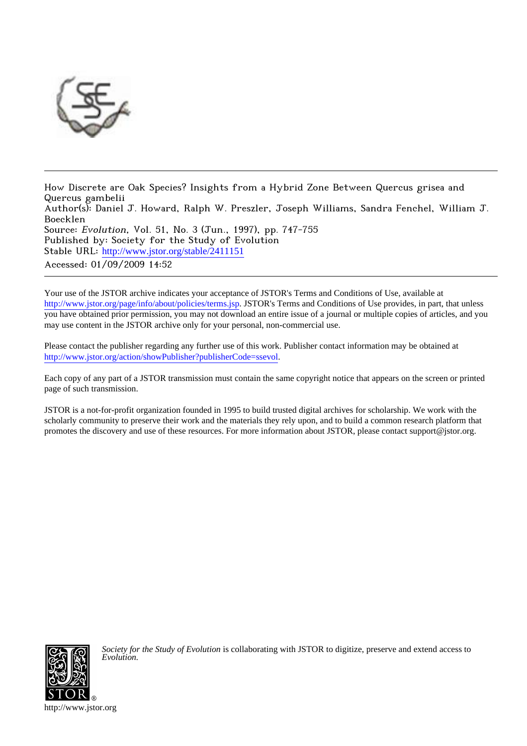

How Discrete are Oak Species? Insights from a Hybrid Zone Between Quercus grisea and Quercus gambelii Author(s): Daniel J. Howard, Ralph W. Preszler, Joseph Williams, Sandra Fenchel, William J. Boecklen Source: Evolution, Vol. 51, No. 3 (Jun., 1997), pp. 747-755 Published by: Society for the Study of Evolution Stable URL: [http://www.jstor.org/stable/2411151](http://www.jstor.org/stable/2411151?origin=JSTOR-pdf) Accessed: 01/09/2009 14:52

Your use of the JSTOR archive indicates your acceptance of JSTOR's Terms and Conditions of Use, available at <http://www.jstor.org/page/info/about/policies/terms.jsp>. JSTOR's Terms and Conditions of Use provides, in part, that unless you have obtained prior permission, you may not download an entire issue of a journal or multiple copies of articles, and you may use content in the JSTOR archive only for your personal, non-commercial use.

Please contact the publisher regarding any further use of this work. Publisher contact information may be obtained at [http://www.jstor.org/action/showPublisher?publisherCode=ssevol.](http://www.jstor.org/action/showPublisher?publisherCode=ssevol)

Each copy of any part of a JSTOR transmission must contain the same copyright notice that appears on the screen or printed page of such transmission.

JSTOR is a not-for-profit organization founded in 1995 to build trusted digital archives for scholarship. We work with the scholarly community to preserve their work and the materials they rely upon, and to build a common research platform that promotes the discovery and use of these resources. For more information about JSTOR, please contact support@jstor.org.



*Society for the Study of Evolution* is collaborating with JSTOR to digitize, preserve and extend access to *Evolution.*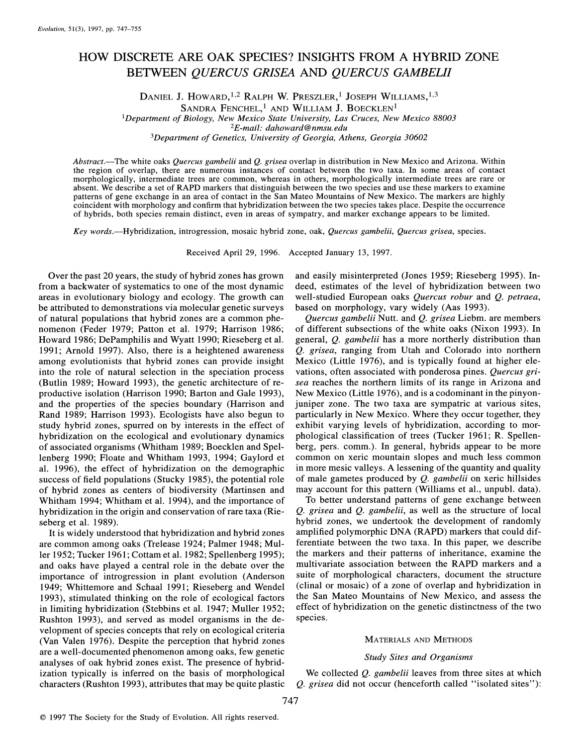# **HOW DISCRETE ARE OAK SPECIES? INSIGHTS FROM A HYBRID ZONE BETWEEN QUERCUS GRISEA AND QUERCUS GAMBELII**

DANIEL J. HOWARD,<sup>1,2</sup> RALPH W. PRESZLER,<sup>1</sup> JOSEPH WILLIAMS,<sup>1,3</sup>

SANDRA FENCHEL,<sup>1</sup> AND WILLIAM J. BOECKLEN<sup>1</sup>

**'Department of Biology, New Mexico State University, Las Cruces, New Mexico 88003** 

**2E-mail: dahoward@nmsu.edu** 

**3Department of Genetics, University of Georgia, Athens, Georgia 30602** 

**Abstract.-The white oaks Quercus gambelii and Q. grisea overlap in distribution in New Mexico and Arizona. Within the region of overlap, there are numerous instances of contact between the two taxa. In some areas of contact morphologically, intermediate trees are common, whereas in others, morphologically intermediate trees are rare or absent. We describe a set of RAPD markers that distinguish between the two species and use these markers to examine patterns of gene exchange in an area of contact in the San Mateo Mountains of New Mexico. The markers are highly coincident with morphology and confirm that hybridization between the two species takes place. Despite the occurrence of hybrids, both species remain distinct, even in areas of sympatry, and marker exchange appears to be limited.** 

**Key words.-Hybridization, introgression, mosaic hybrid zone, oak, Quercus gambelii, Quercus grisea, species.** 

**Received April 29, 1996. Accepted January 13, 1997.** 

**Over the past 20 years, the study of hybrid zones has grown from a backwater of systematics to one of the most dynamic areas in evolutionary biology and ecology. The growth can be attributed to demonstrations via molecular genetic surveys of natural populations that hybrid zones are a common phenomenon (Feder 1979; Patton et al. 1979; Harrison 1986; Howard 1986; DePamphilis and Wyatt 1990; Rieseberg et al. 1991; Arnold 1997). Also, there is a heightened awareness among evolutionists that hybrid zones can provide insight into the role of natural selection in the speciation process (Butlin 1989; Howard 1993), the genetic architecture of reproductive isolation (Harrison 1990; Barton and Gale 1993), and the properties of the species boundary (Harrison and Rand 1989; Harrison 1993). Ecologists have also begun to study hybrid zones, spurred on by interests in the effect of hybridization on the ecological and evolutionary dynamics of associated organisms (Whitham 1989; Boecklen and Spellenberg 1990; Floate and Whitham 1993, 1994; Gaylord et al. 1996), the effect of hybridization on the demographic**  success of field populations (Stucky 1985), the potential role **of hybrid zones as centers of biodiversity (Martinsen and Whitham 1994; Whitham et al. 1994), and the importance of hybridization in the origin and conservation of rare taxa (Rieseberg et al. 1989).** 

**It is widely understood that hybridization and hybrid zones are common among oaks (Trelease 1924; Palmer 1948; Muller 1952; Tucker 1961; Cottam et al. 1982; Spellenberg 1995); and oaks have played a central role in the debate over the importance of introgression in plant evolution (Anderson 1949; Whittemore and Schaal 1991; Rieseberg and Wendel 1993), stimulated thinking on the role of ecological factors in limiting hybridization (Stebbins et al. 1947; Muller 1952; Rushton 1993), and served as model organisms in the development of species concepts that rely on ecological criteria (Van Valen 1976). Despite the perception that hybrid zones are a well-documented phenomenon among oaks, few genetic analyses of oak hybrid zones exist. The presence of hybridization typically is inferred on the basis of morphological characters (Rushton 1993), attributes that may be quite plastic**  **and easily misinterpreted (Jones 1959; Rieseberg 1995). Indeed, estimates of the level of hybridization between two well-studied European oaks Quercus robur and Q. petraea, based on morphology, vary widely (Aas 1993).** 

**Quercus gambelii Nutt. and Q. grisea Liebm. are members of different subsections of the white oaks (Nixon 1993). In general, Q. gambelii has a more northerly distribution than Q. grisea, ranging from Utah and Colorado into northern Mexico (Little 1976), and is typically found at higher elevations, often associated with ponderosa pines. Quercus grisea reaches the northern limits of its range in Arizona and New Mexico (Little 1976), and is a codominant in the pinyonjuniper zone. The two taxa are sympatric at various sites, particularly in New Mexico. Where they occur together, they exhibit varying levels of hybridization, according to morphological classification of trees (Tucker 1961; R. Spellenberg, pers. comm.). In general, hybrids appear to be more common on xeric mountain slopes and much less common in more mesic valleys. A lessening of the quantity and quality of male gametes produced by Q. gambelii on xeric hillsides may account for this pattern (Williams et al., unpubl. data).** 

**To better understand patterns of gene exchange between Q. grisea and Q. gambelii, as well as the structure of local hybrid zones, we undertook the development of randomly amplified polymorphic DNA (RAPD) markers that could differentiate between the two taxa. In this paper, we describe the markers and their patterns of inheritance, examine the multivariate association between the RAPD markers and a suite of morphological characters, document the structure (clinal or mosaic) of a zone of overlap and hybridization in the San Mateo Mountains of New Mexico, and assess the effect of hybridization on the genetic distinctness of the two species.** 

## **MATERIALS AND METHODS**

# **Study Sites and Organisms**

**We collected Q. gambelii leaves from three sites at which Q. grisea did not occur (henceforth called "isolated sites"):**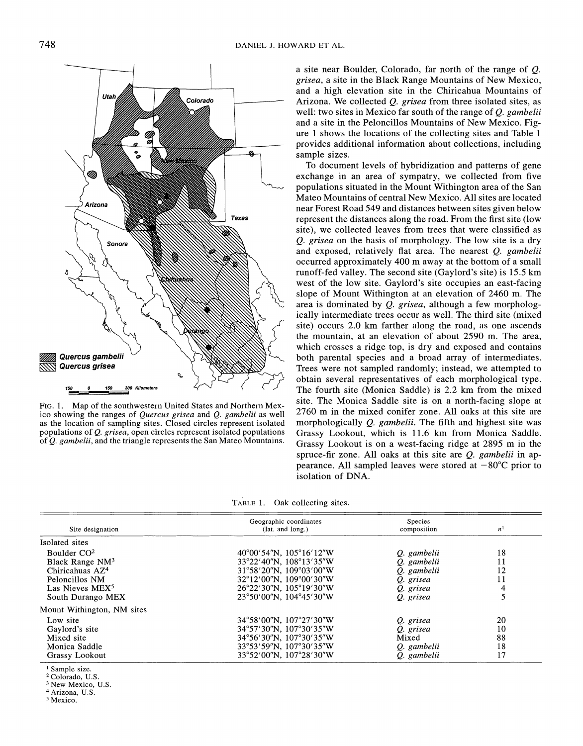

**FIG. 1. Map of the southwestern United States and Northern Mexico showing the ranges of Quercus grisea and Q. gambelii as well as the location of sampling sites. Closed circles represent isolated populations of Q. grisea, open circles represent isolated populations of Q. gambelii, and the triangle represents the San Mateo Mountains.** 

**a site near Boulder, Colorado, far north of the range of Q. grisea, a site in the Black Range Mountains of New Mexico, and a high elevation site in the Chiricahua Mountains of Arizona. We collected Q. grisea from three isolated sites, as well: two sites in Mexico far south of the range of Q. gambelii and a site in the Peloncillos Mountains of New Mexico. Figure 1 shows the locations of the collecting sites and Table 1 provides additional information about collections, including sample sizes.** 

**To document levels of hybridization and patterns of gene exchange in an area of sympatry, we collected from five populations situated in the Mount Withington area of the San Mateo Mountains of central New Mexico. All sites are located near Forest Road 549 and distances between sites given below represent the distances along the road. From the first site (low site), we collected leaves from trees that were classified as Q. grisea on the basis of morphology. The low site is a dry and exposed, relatively flat area. The nearest Q. gambelii occurred approximately 400 m away at the bottom of a small runoff-fed valley. The second site (Gaylord's site) is 15.5 km west of the low site. Gaylord's site occupies an east-facing slope of Mount Withington at an elevation of 2460 m. The area is dominated by Q. grisea, although a few morphologically intermediate trees occur as well. The third site (mixed site) occurs 2.0 km farther along the road, as one ascends the mountain, at an elevation of about 2590 m. The area, which crosses a ridge top, is dry and exposed and contains both parental species and a broad array of intermediates. Trees were not sampled randomly; instead, we attempted to obtain several representatives of each morphological type. The fourth site (Monica Saddle) is 2.2 km from the mixed site. The Monica Saddle site is on a north-facing slope at 2760 m in the mixed conifer zone. All oaks at this site are morphologically Q. gambelii. The fifth and highest site was Grassy Lookout, which is 11.6 km from Monica Saddle. Grassy Lookout is on a west-facing ridge at 2895 m in the spruce-fir zone. All oaks at this site are Q. gambelii in appearance.** All sampled leaves were stored at  $-80^{\circ}$ C prior to **isolation of DNA.** 

**TABLE 1. Oak collecting sites.** 

| Site designation            | Geographic coordinates<br>(lat. and long.)    | <b>Species</b><br>composition | $\boldsymbol{n}$ |
|-----------------------------|-----------------------------------------------|-------------------------------|------------------|
| Isolated sites              |                                               |                               |                  |
| Boulder $CO2$               | $40^{\circ}00'54''N$ , $105^{\circ}16'12''W$  | Q. gambelii                   | 18               |
| Black Range $NM^3$          | 33°22′40″N. 108°13′35″W                       | Q. gambelii                   | 11               |
| Chiricahuas AZ <sup>4</sup> | 31°58′20"N, 109°03′00"W                       | Q. gambelii                   | 12               |
| Peloncillos NM              | $32^{\circ}12'00''$ N, $109^{\circ}00'30''$ W | O. grisea                     | 11               |
| Las Nieves MEX <sup>5</sup> | $26^{\circ}22'30''N$ , $105^{\circ}19'30''W$  | Q. grisea                     | 4                |
| South Durango MEX           | $23^{\circ}50'00''$ N, $104^{\circ}45'30''$ W | O. grisea                     |                  |
| Mount Withington, NM sites  |                                               |                               |                  |
| Low site                    | 34°58′00″N, 107°27′30″W                       | Q. grisea                     | 20               |
| Gaylord's site              | $34^{\circ}57'30''$ N, $107^{\circ}30'35''$ W | Q. grisea                     | 10               |
| Mixed site                  | $34^{\circ}56'30''$ N, $107^{\circ}30'35''$ W | Mixed                         | 88               |
| Monica Saddle               | 33°53′59″N, 107°30′35″W                       | O. gambelii                   | 18               |
| Grassy Lookout              | 33°52'00"N, 107°28'30"W                       | O gambelii                    | 17               |

**1 Sample size.** 

**2 Colorado, U.S.** 

**3 New Mexico, U.S. 4 Arizona, U.S.** 

**5 Mexico.**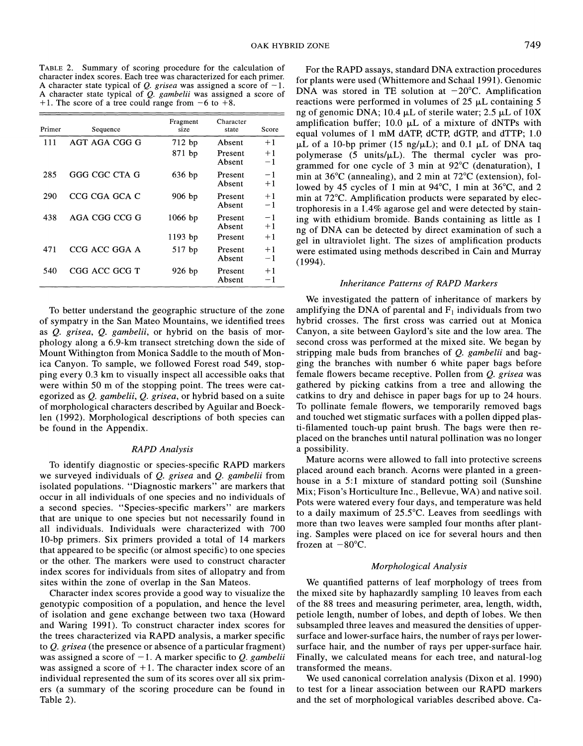**TABLE 2. Summary of scoring procedure for the calculation of character index scores. Each tree was characterized for each primer.**  A character state typical of  $Q$ . grisea was assigned a score of  $-1$ . **A character state typical of Q. gambelii was assigned a score of**  +1. The score of a tree could range from  $-6$  to  $+8$ .

| Primer | Sequence      | Fragment<br>size      | Character<br>state           | Score                |
|--------|---------------|-----------------------|------------------------------|----------------------|
| 111    | AGT AGA CGG G | 712 bp<br>871 bp      | Absent<br>Present<br>Absent  | $+1$<br>$+1$<br>$-1$ |
| 285    | GGG CGC CTA G | $636$ bp              | Present<br>Absent            | $-1$<br>$+1$         |
| 290    | CCG CGA GCA C | 906 bp                | Present<br>Absent            | $+1$<br>$-1$         |
| 438    | AGA CGG CCG G | $1066$ bp             | Present<br>Absent            | $-1$<br>$+1$         |
| 471    | CCG ACC GGA A | $1193$ bp<br>$517$ bp | Present<br>Present<br>Absent | $+1$<br>$+1$<br>$-1$ |
| 540    | CGG ACC GCG T | 926 bp                | Present<br>Absent            | $+1$<br>$^{-1}$      |

**To better understand the geographic structure of the zone of sympatry in the San Mateo Mountains, we identified trees as Q. grisea, Q. gambelii, or hybrid on the basis of morphology along a 6.9-km transect stretching down the side of Mount Withington from Monica Saddle to the mouth of Monica Canyon. To sample, we followed Forest road 549, stopping every 0.3 km to visually inspect all accessible oaks that were within 50 m of the stopping point. The trees were categorized as Q. gambelii, Q. grisea, or hybrid based on a suite of morphological characters described by Aguilar and Boecklen (1992). Morphological descriptions of both species can be found in the Appendix.** 

# **RAPD Analysis**

**To identify diagnostic or species-specific RAPD markers we surveyed individuals of Q. grisea and Q. gambelii from isolated populations. "Diagnostic markers" are markers that occur in all individuals of one species and no individuals of a second species. "Species-specific markers" are markers that are unique to one species but not necessarily found in all individuals. Individuals were characterized with 700 10-bp primers. Six primers provided a total of 14 markers that appeared to be specific (or almost specific) to one species or the other. The markers were used to construct character index scores for individuals from sites of allopatry and from sites within the zone of overlap in the San Mateos.** 

**Character index scores provide a good way to visualize the genotypic composition of a population, and hence the level of isolation and gene exchange between two taxa (Howard and Waring 1991). To construct character index scores for the trees characterized via RAPD analysis, a marker specific to Q. grisea (the presence or absence of a particular fragment)**  was assigned a score of  $-1$ . A marker specific to Q. *gambelii* **was assigned a score of + 1. The character index score of an individual represented the sum of its scores over all six primers (a summary of the scoring procedure can be found in Table 2).** 

**For the RAPD assays, standard DNA extraction procedures for plants were used (Whittemore and Schaal 1991). Genomic**  DNA was stored in TE solution at  $-20^{\circ}$ C. Amplification reactions were performed in volumes of  $25 \mu L$  containing  $5 \mu L$ ng of genomic DNA;  $10.4 \mu L$  of sterile water;  $2.5 \mu L$  of  $10X$ amplification buffer; 10.0  $\mu$ L of a mixture of dNTPs with **equal volumes of 1 mM dATP, dCTP, dGTP, and dTTP; 1.0**   $\mu$ L of a 10-bp primer (15 ng/ $\mu$ L); and 0.1  $\mu$ L of DNA taq polymerase (5 units/ $\mu$ L). The thermal cycler was pro**grammed for one cycle of 3 min at 92?C (denaturation), 1**  min at 36<sup>o</sup>C (annealing), and 2 min at 72<sup>o</sup>C (extension), fol**lowed by 45 cycles of 1 min at 94?C, 1 min at 36?C, and 2 min at 72?C. Amplification products were separated by electrophoresis in a 1.4% agarose gel and were detected by staining with ethidium bromide. Bands containing as little as 1 ng of DNA can be detected by direct examination of such a gel in ultraviolet light. The sizes of amplification products were estimated using methods described in Cain and Murray (1994).** 

### **Inheritance Patterns of RAPD Markers**

**We investigated the pattern of inheritance of markers by**  amplifying the DNA of parental and  $F_1$  individuals from two **hybrid crosses. The first cross was carried out at Monica Canyon, a site between Gaylord's site and the low area. The second cross was performed at the mixed site. We began by stripping male buds from branches of Q. gambelii and bagging the branches with number 6 white paper bags before female flowers became receptive. Pollen from Q. grisea was gathered by picking catkins from a tree and allowing the catkins to dry and dehisce in paper bags for up to 24 hours. To pollinate female flowers, we temporarily removed bags and touched wet stigmatic surfaces with a pollen dipped plasti-filamented touch-up paint brush. The bags were then replaced on the branches until natural pollination was no longer a possibility.** 

**Mature acorns were allowed to fall into protective screens placed around each branch. Acorns were planted in a greenhouse in a 5:1 mixture of standard potting soil (Sunshine Mix; Fison's Horticulture Inc., Bellevue, WA) and native soil. Pots were watered every four days, and temperature was held to a daily maximum of 25.5?C. Leaves from seedlings with more than two leaves were sampled four months after planting. Samples were placed on ice for several hours and then**  frozen at  $-80^{\circ}$ C.

## **Morphological Analysis**

**We quantified patterns of leaf morphology of trees from the mixed site by haphazardly sampling 10 leaves from each of the 88 trees and measuring perimeter, area, length, width, petiole length, number of lobes, and depth of lobes. We then subsampled three leaves and measured the densities of uppersurface and lower-surface hairs, the number of rays per lowersurface hair, and the number of rays per upper-surface hair. Finally, we calculated means for each tree, and natural-log transformed the means.** 

**We used canonical correlation analysis (Dixon et al. 1990) to test for a linear association between our RAPD markers and the set of morphological variables described above. Ca-**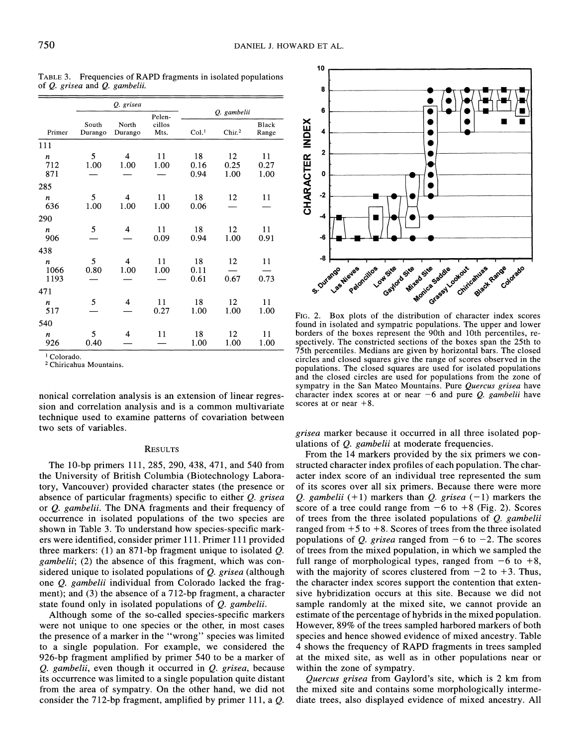| Q. grisea                      |                  |                                 |                |                    |                    |                    |
|--------------------------------|------------------|---------------------------------|----------------|--------------------|--------------------|--------------------|
|                                | Pelen-           |                                 | Q. gambelii    |                    |                    |                    |
| Primer                         | South<br>Durango | North<br>Durango                | cillos<br>Mts. | Col. <sup>1</sup>  | Chir. <sup>2</sup> | Black<br>Range     |
| 111                            |                  |                                 |                |                    |                    |                    |
| $\boldsymbol{n}$<br>712<br>871 | 5<br>1.00        | $\overline{\mathbf{4}}$<br>1.00 | 11<br>1.00     | 18<br>0.16<br>0.94 | 12<br>0.25<br>1.00 | 11<br>0.27<br>1.00 |
| 285                            |                  |                                 |                |                    |                    |                    |
| n<br>636                       | 5<br>1.00        | 4<br>1.00                       | 11<br>1.00     | 18<br>0.06         | 12                 | 11                 |
| 290                            |                  |                                 |                |                    |                    |                    |
| n<br>906                       | 5                | 4                               | 11<br>0.09     | 18<br>0.94         | 12<br>1.00         | 11<br>0.91         |
| 438                            |                  |                                 |                |                    |                    |                    |
| n<br>1066<br>1193              | 5<br>0.80        | 4<br>1.00                       | 11<br>1.00     | 18<br>0.11<br>0.61 | 12<br>0.67         | 11<br>0.73         |
| 471                            |                  |                                 |                |                    |                    |                    |
| n<br>517                       | 5                | 4                               | 11<br>0.27     | 18<br>1.00         | 12<br>1.00         | 11<br>1.00         |
| 540                            |                  |                                 |                |                    |                    |                    |
| n<br>926                       | 5<br>0.40        | 4                               | 11             | 18<br>1.00         | 12<br>1.00         | 11<br>1.00         |

**TABLE 3. Frequencies of RAPD fragments in isolated populations of Q. grisea and Q. gambelii.** 

**<sup>1</sup>Colorado.** 

**<sup>2</sup>Chiricahua Mountains.** 

**nonical correlation analysis is an extension of linear regression and correlation analysis and is a common multivariate technique used to examine patterns of covariation between two sets of variables.** 

# **RESULTS**

**The 10-bp primers 111, 285, 290, 438, 471, and 540 from the University of British Columbia (Biotechnology Laboratory, Vancouver) provided character states (the presence or absence of particular fragments) specific to either Q. grisea or Q. gambelii. The DNA fragments and their frequency of occurrence in isolated populations of the two species are shown in Table 3. To understand how species-specific markers were identified, consider primer 111. Primer 111 provided three markers: (1) an 871-bp fragment unique to isolated Q. gambelii; (2) the absence of this fragment, which was considered unique to isolated populations of Q. grisea (although one Q. gambelii individual from Colorado lacked the fragment); and (3) the absence of a 712-bp fragment, a character state found only in isolated populations of Q. gambelii.** 

**Although some of the So-called species-specific markers were not unique to one species or the other, in most cases the presence of a marker in the "wrong" species was limited to a single population. For example, we considered the 926-bp fragment amplified by primer 540 to be a marker of Q. gambelii, even though it occurred in Q. grisea, because its occurrence was limited to a single population quite distant from the area of sympatry. On the other hand, we did not consider the 712-bp fragment, amplified by primer 111, a Q.** 



**FIG. 2. Box plots of the distribution of character index scores found in isolated and sympatric populations. The upper and lower borders of the boxes represent the 90th and 10th percentiles, respectively. The constricted sections of the boxes span the 25th to 75th percentiles. Medians are given by horizontal bars. The closed circles and closed squares give the range of scores observed in the populations. The closed squares are used for isolated populations and the closed circles are used for populations from the zone of sympatry in the San Mateo Mountains. Pure Quercus grisea have**  character index scores at or near  $-6$  and pure *Q. gambelii* have **scores at or near +8.** 

**grisea marker because it occurred in all three isolated populations of Q. gambelii at moderate frequencies.** 

**From the 14 markers provided by the six primers we constructed character index profiles of each population. The character index score of an individual tree represented the sum of its scores over all six primers. Because there were more Q.** gambelii  $(+1)$  markers than *Q.* grisea  $(-1)$  markers the score of a tree could range from  $-6$  to  $+8$  (Fig. 2). Scores **of trees from the three isolated populations of Q. gambelii**  ranged from  $+5$  to  $+8$ . Scores of trees from the three isolated **populations of Q. grisea ranged from**  $-6$  **to**  $-2$ **. The scores of trees from the mixed population, in which we sampled the**  full range of morphological types, ranged from  $-6$  to  $+8$ , with the majority of scores clustered from  $-2$  to  $+3$ . Thus, **the character index scores support the contention that extensive hybridization occurs at this site. Because we did not sample randomly at the mixed site, we cannot provide an estimate of the percentage of hybrids in the mixed population. However, 89% of the trees sampled harbored markers of both species and hence showed evidence of mixed ancestry. Table 4 shows the frequency of RAPD fragments in trees sampled at the mixed site, as well as in other populations near or within the zone of sympatry.** 

**Quercus grisea from Gaylord's site, which is 2 km from the mixed site and contains some morphologically intermediate trees, also displayed evidence of mixed ancestry. All**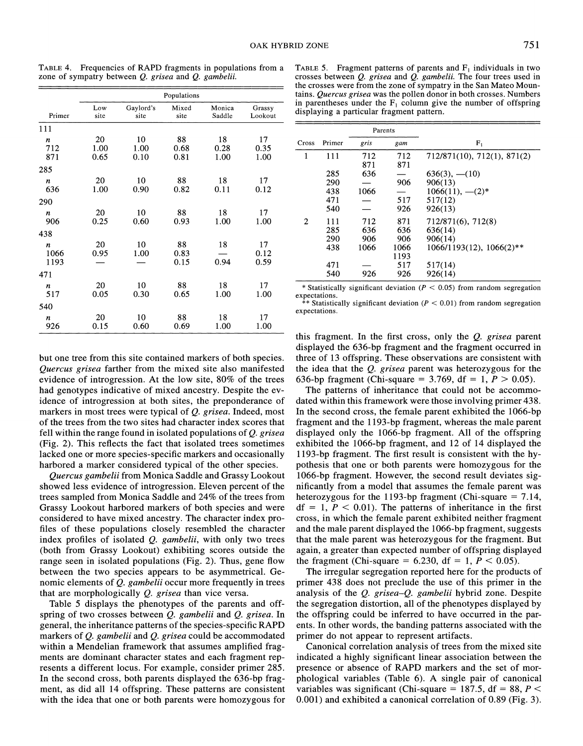|                                  | Populations        |                    |                    |                    |                    |
|----------------------------------|--------------------|--------------------|--------------------|--------------------|--------------------|
| Primer                           | Low<br>site        | Gaylord's<br>site  | Mixed<br>site      | Monica<br>Saddle   | Grassy<br>Lookout  |
| 111                              |                    |                    |                    |                    |                    |
| $\boldsymbol{n}$<br>712<br>871   | 20<br>1.00<br>0.65 | 10<br>1.00<br>0.10 | 88<br>0.68<br>0.81 | 18<br>0.28<br>1.00 | 17<br>0.35<br>1.00 |
| 285                              |                    |                    |                    |                    |                    |
| $\boldsymbol{n}$<br>636          | 20<br>1.00         | 10<br>0.90         | 88<br>0.82         | 18<br>0.11         | 17<br>0.12         |
| 290                              |                    |                    |                    |                    |                    |
| n<br>906                         | 20<br>0.25         | 10<br>0.60         | 88<br>0.93         | 18<br>1.00         | 17<br>1.00         |
| 438                              |                    |                    |                    |                    |                    |
| $\boldsymbol{n}$<br>1066<br>1193 | 20<br>0.95         | 10<br>1.00         | 88<br>0.83<br>0.15 | 18<br>0.94         | 17<br>0.12<br>0.59 |
| 471                              |                    |                    |                    |                    |                    |
| $\boldsymbol{n}$<br>517          | 20<br>0.05         | 10<br>0.30         | 88<br>0.65         | 18<br>1.00         | 17<br>1.00         |
| 540                              |                    |                    |                    |                    |                    |
| n<br>926                         | 20<br>0.15         | 10<br>0.60         | 88<br>0.69         | 18<br>1.00         | 17<br>1.00         |

**TABLE 4. Frequencies of RAPD fragments in populations from a zone of sympatry between Q. grisea and Q. gambelii.** 

**TABLE 5.** Fragment patterns of parents and  $F_1$  individuals in two **crosses between Q. grisea and Q. gambelii. The four trees used in the crosses were from the zone of sympatry in the San Mateo Mountains. Quercus grisea was the pollen donor in both crosses. Numbers**  in parentheses under the  $F_1$  column give the number of offspring **displaying a particular fragment pattern.** 

|       |                                        | Parents                   |                                                 |                                                                                               |
|-------|----------------------------------------|---------------------------|-------------------------------------------------|-----------------------------------------------------------------------------------------------|
| Cross | Primer                                 | gris                      | gam                                             | $F_1$                                                                                         |
| 1     | 111                                    | 712<br>871                | 712<br>871                                      | 712/871(10), 712(1), 871(2)                                                                   |
|       | 285<br>290<br>438<br>471<br>540        | 636<br>1066               | 906<br>517<br>926                               | $636(3), -110$<br>906(13)<br>$1066(11), -2$ <sup>*</sup><br>517(12)<br>926(13)                |
| 2     | 111<br>285<br>290<br>438<br>471<br>540 | 712<br>636<br>906<br>1066 | 871<br>636<br>906<br>1066<br>1193<br>517<br>926 | 712/871(6), 712(8)<br>636(14)<br>906(14)<br>$1066/1193(12), 1066(2)$ **<br>517(14)<br>926(14) |
|       |                                        | 926                       |                                                 |                                                                                               |

**\* Statistically significant deviation (P < 0.05) from random segregation** 

**expectations. \*\* Statistically significant deviation (P < 0.01) from random segregation expectations.** 

**but one tree from this site contained markers of both species. Quercus grisea farther from the mixed site also manifested evidence of introgression. At the low site, 80% of the trees had genotypes indicative of mixed ancestry. Despite the evidence of introgression at both sites, the preponderance of markers in most trees were typical of Q. grisea. Indeed, most of the trees from the two sites had character index scores that fell within the range found in isolated populations of Q. grisea (Fig. 2). This reflects the fact that isolated trees sometimes lacked one or more species-specific markers and occasionally harbored a marker considered typical of the other species.** 

**Quercus gambelii from Monica Saddle and Grassy Lookout showed less evidence of introgression. Eleven percent of the trees sampled from Monica Saddle and 24% of the trees from Grassy Lookout harbored markers of both species and were considered to have mixed ancestry. The character index profiles of these populations closely resembled the character index profiles of isolated Q. gambelii, with only two trees (both from Grassy Lookout) exhibiting scores outside the range seen in isolated populations (Fig. 2). Thus, gene flow between the two species appears to be asymmetrical. Genomic elements of Q. gambelii occur more frequently in trees that are morphologically Q. grisea than vice versa.** 

**Table 5 displays the phenotypes of the parents and offspring of two crosses between Q. gambelii and Q. grisea. In general, the inheritance patterns of the species-specific RAPD markers of Q. gambelii and Q. grisea could be accommodated within a Mendelian framework that assumes amplified fragments are dominant character states and each fragment represents a different locus. For example, consider primer 285. In the second cross, both parents displayed the 636-bp fragment, as did all 14 offspring. These patterns are consistent with the idea that one or both parents were homozygous for**  **this fragment. In the first cross, only the Q. grisea parent displayed the 636-bp fragment and the fragment occurred in three of 13 offspring. These observations are consistent with the idea that the Q. grisea parent was heterozygous for the 636-bp fragment (Chi-square =**  $3.769$ **, df = 1,**  $P > 0.05$ **).** 

**The patterns of inheritance that could not be accommodated within this framework were those involving primer 438. In the second cross, the female parent exhibited the 1066-bp fragment and the 1193-bp fragment, whereas the male parent displayed only the 1066-bp fragment. All of the offspring exhibited the 1066-bp fragment, and 12 of 14 displayed the 1193-bp fragment. The first result is consistent with the hypothesis that one or both parents were homozygous for the 1066-bp fragment. However, the second result deviates significantly from a model that assumes the female parent was heterozygous for the 1193-bp fragment (Chi-square = 7.14,**   $df = 1, P < 0.01$ . The patterns of inheritance in the first **cross, in which the female parent exhibited neither fragment and the male parent displayed the 1066-bp fragment, suggests that the male parent was heterozygous for the fragment. But again, a greater than expected number of offspring displayed**  the fragment (Chi-square =  $6.230$ , df =  $1, P < 0.05$ ).

**The irregular segregation reported here for the products of primer 438 does not preclude the use of this primer in the analysis of the Q. grisea-Q. gambelii hybrid zone. Despite the segregation distortion, all of the phenotypes displayed by the offspring could be inferred to have occurred in the parents. In other words, the banding patterns associated with the primer do not appear to represent artifacts.** 

**Canonical correlation analysis of trees from the mixed site indicated a highly significant linear association between the presence or absence of RAPD markers and the set of morphological variables (Table 6). A single pair of canonical**  variables was significant (Chi-square  $= 187.5$ , df  $= 88, P <$ **0.001) and exhibited a canonical correlation of 0.89 (Fig. 3).**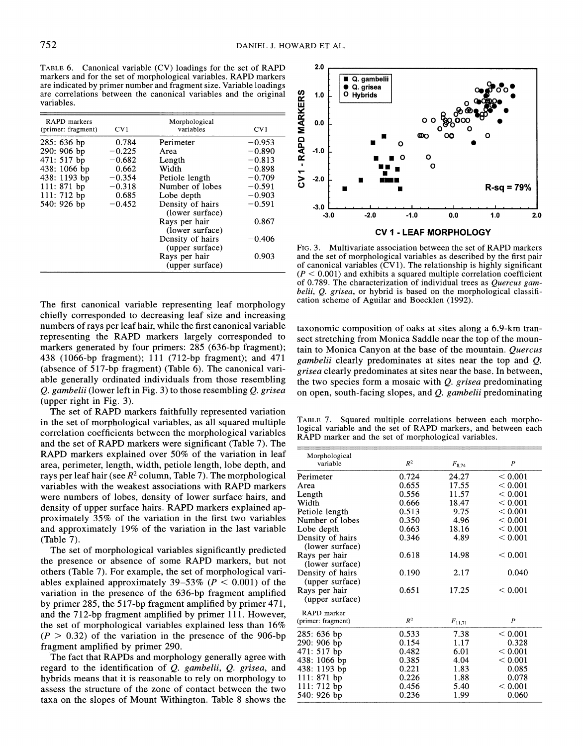**TABLE 6. Canonical variable (CV) loadings for the set of RAPD markers and for the set of morphological variables. RAPD markers are indicated by primer number and fragment size. Variable loadings are correlations between the canonical variables and the original variables.** 

| <b>RAPD</b> markers<br>(primer: fragment) | CV1      | Morphological<br>variables          | CV1      |
|-------------------------------------------|----------|-------------------------------------|----------|
| $285:636$ bp                              | 0.784    | Perimeter                           | $-0.953$ |
| $290:906$ bp                              | $-0.225$ | Area                                | $-0.890$ |
| 471: 517 bp                               | $-0.682$ | Length                              | $-0.813$ |
| 438: 1066 bp                              | 0.662    | Width                               | $-0.898$ |
| 438: 1193 bp                              | $-0.354$ | Petiole length                      | $-0.709$ |
| 111: 871 bp                               | $-0.318$ | Number of lobes                     | $-0.591$ |
| $111:712$ bp                              | 0.685    | Lobe depth                          | $-0.903$ |
| 540: 926 bp                               | $-0.452$ | Density of hairs<br>(lower surface) | $-0.591$ |
|                                           |          | Rays per hair<br>(lower surface)    | 0.867    |
|                                           |          | Density of hairs<br>(upper surface) | $-0.406$ |
|                                           |          | Rays per hair<br>(upper surface)    | 0.903    |

**The first canonical variable representing leaf morphology chiefly corresponded to decreasing leaf size and increasing numbers of rays per leaf hair, while the first canonical variable representing the RAPD markers largely corresponded to markers generated by four primers: 285 (636-bp fragment); 438 (1066-bp fragment); 111 (712-bp fragment); and 471 (absence of 517-bp fragment) (Table 6). The canonical variable generally ordinated individuals from those resembling Q. gambelii (lower left in Fig. 3) to those resembling Q. grisea (upper right in Fig. 3).** 

**The set of RAPD markers faithfully represented variation in the set of morphological variables, as all squared multiple correlation coefficients between the morphological variables and the set of RAPD markers were significant (Table 7). The RAPD markers explained over 50% of the variation in leaf area, perimeter, length, width, petiole length, lobe depth, and rays per leaf hair (see R2 column, Table 7). The morphological variables with the weakest associations with RAPD markers were numbers of lobes, density of lower surface hairs, and density of upper surface hairs. RAPD markers explained approximately 35% of the variation in the first two variables and approximately 19% of the variation in the last variable (Table 7).** 

**The set of morphological variables significantly predicted the presence or absence of some RAPD markers, but not others (Table 7). For example, the set of morphological vari**ables explained approximately  $39-53\%$  ( $P < 0.001$ ) of the **variation in the presence of the 636-bp fragment amplified by primer 285, the 517-bp fragment amplified by primer 471, and the 712-bp fragment amplified by primer 111. However, the set of morphological variables explained less than 16%**   $(P > 0.32)$  of the variation in the presence of the 906-bp **fragment amplified by primer 290.** 

**The fact that RAPDs and morphology generally agree with regard to the identification of Q. gambelii, Q. grisea, and hybrids means that it is reasonable to rely on morphology to assess the structure of the zone of contact between the two taxa on the slopes of Mount Withington. Table 8 shows the** 



**FIG. 3. Multivariate association between the set of RAPD markers and the set of morphological variables as described by the first pair of canonical variables (CVI). The relationship is highly significant**   $(P < 0.001)$  and exhibits a squared multiple correlation coefficient **of 0.789. The characterization of individual trees as Quercus gambelii, Q. grisea, or hybrid is based on the morphological classification scheme of Aguilar and Boecklen (1992).** 

**taxonomic composition of oaks at sites along a 6.9-km transect stretching from Monica Saddle near the top of the mountain to Monica Canyon at the base of the mountain. Quercus gambelii clearly predominates at sites near the top and Q. grisea clearly predominates at sites near the base. In between, the two species form a mosaic with Q. grisea predominating on open, south-facing slopes, and Q. gambelii predominating** 

**TABLE 7. Squared multiple correlations between each morphological variable and the set of RAPD markers, and between each RAPD marker and the set of morphological variables.** 

| Morphological<br>variable | R <sup>2</sup> | $F_{8,74}$  | $\boldsymbol{P}$ |
|---------------------------|----------------|-------------|------------------|
| Perimeter                 | 0.724          | 24.27       | < 0.001          |
| Area                      | 0.655          | 17.55       | < 0.001          |
| Length                    | 0.556          | 11.57       | < 0.001          |
| Width                     | 0.666          | 18.47       | ${}_{0.001}$     |
| Petiole length            | 0.513          | 9.75        | < 0.001          |
| Number of lobes           | 0.350          | 4.96        | < 0.001          |
| Lobe depth                | 0.663          | 18.16       | < 0.001          |
| Density of hairs          | 0.346          | 4.89        | < 0.001          |
| (lower surface)           |                |             |                  |
| Rays per hair             | 0.618          | 14.98       | < 0.001          |
| (lower surface)           |                |             |                  |
| Density of hairs          | 0.190          | 2.17        | 0.040            |
| (upper surface)           |                |             |                  |
| Rays per hair             | 0.651          | 17.25       | < 0.001          |
| (upper surface)           |                |             |                  |
| RAPD marker               |                |             |                  |
| (primer: fragment)        | $R^2$          | $F_{11,71}$ | $\boldsymbol{P}$ |
| 285: 636 bp               | 0.533          | 7.38        | < 0.001          |
| 290: 906 bp               | 0.154          | 1.17        | 0.328            |
| 471: 517 bp               | 0.482          | 6.01        | < 0.001          |
| 438: 1066 bp              | 0.385          | 4.04        | < 0.001          |
| 438: 1193 bp              | 0.221          | 1.83        | 0.085            |
| 111: 871 bp               | 0.226          | 1.88        | 0.078            |
| $111:712$ bp              | 0.456          | 5.40        | < 0.001          |
| 540: 926 bp               | 0.236          | 1.99        | 0.060            |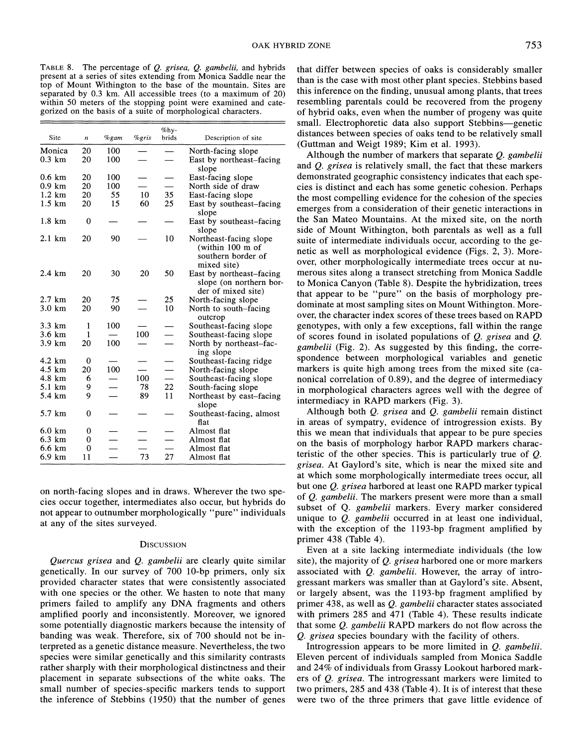**TABLE 8. The percentage of Q. grisea, Q. gambelii, and hybrids present at a series of sites extending from Monica Saddle near the top of Mount Withington to the base of the mountain. Sites are separated by 0.3 km. All accessible trees (to a maximum of 20) within 50 meters of the stopping point were examined and categorized on the basis of a suite of morphological characters.** 

|                  |                  |         |       | $\%$ hy- |                                                                                 |
|------------------|------------------|---------|-------|----------|---------------------------------------------------------------------------------|
| Site             | $\boldsymbol{n}$ | $%$ gam | %gris | brids    | Description of site                                                             |
| Monica           | 20               | 100     |       |          | North-facing slope                                                              |
| $0.3 \text{ km}$ | 20               | 100     |       |          | East by northeast-facing<br>slope                                               |
| $0.6 \text{ km}$ | 20               | 100     |       |          | East-facing slope                                                               |
| $0.9 \text{ km}$ | 20               | 100     |       |          | North side of draw                                                              |
| $1.2 \text{ km}$ | 20               | 55      | 10    | 35       | East-facing slope                                                               |
| $1.5 \text{ km}$ | 20               | 15      | 60    | 25       | East by southeast–facing<br>slope                                               |
| 1.8 km           | 0                |         |       |          | East by southeast–facing<br>slope                                               |
| $2.1 \text{ km}$ | 20               | 90      |       | 10       | Northeast-facing slope<br>(within 100 m of<br>southern border of<br>mixed site) |
| $2.4 \text{ km}$ | 20               | 30      | 20    | 50       | East by northeast-facing<br>slope (on northern bor-<br>der of mixed site)       |
| $2.7 \text{ km}$ | 20               | 75      |       | 25       | North-facing slope                                                              |
| $3.0 \text{ km}$ | 20               | 90      |       | 10       | North to south–facing<br>outcrop                                                |
| 3.3 km           | 1                | 100     |       |          | Southeast-facing slope                                                          |
| $3.6 \text{ km}$ | 1                |         | 100   |          | Southeast-facing slope                                                          |
| $3.9 \text{ km}$ | 20               | 100     |       |          | North by northeast-fac-<br>ing slope                                            |
| 4.2 km           | 0                |         |       |          | Southeast-facing ridge                                                          |
| $4.5 \text{ km}$ | 20               | 100     |       |          | North-facing slope                                                              |
| $4.8 \text{ km}$ | 6                |         | 100   |          | Southeast-facing slope                                                          |
| 5.1 km           | 9                |         | 78    | 22       | South-facing slope                                                              |
| 5.4 km           | 9                |         | 89    | 11       | Northeast by east-facing<br>slope                                               |
| 5.7 km           | 0                |         |       |          | Southeast-facing, almost<br>flat                                                |
| $6.0 \text{ km}$ | 0                |         |       |          | Almost flat                                                                     |
| $6.3 \text{ km}$ | 0                |         |       |          | Almost flat                                                                     |
| 6.6 km           | 0                |         |       |          | Almost flat                                                                     |
| 6.9 km           | 11               |         | 73    | 27       | Almost flat                                                                     |

**on north-facing slopes and in draws. Wherever the two species occur together, intermediates also occur, but hybrids do not appear to outnumber morphologically "pure" individuals at any of the sites surveyed.** 

## **DISCUSSION**

**Quercus grisea and Q. gambelii are clearly quite similar genetically. In our survey of 700 10-bp primers, only six provided character states that were consistently associated with one species or the other. We hasten to note that many primers failed to amplify any DNA fragments and others amplified poorly and inconsistently. Moreover, we ignored some potentially diagnostic markers because the intensity of banding was weak. Therefore, six of 700 should not be interpreted as a genetic distance measure. Nevertheless, the two species were similar genetically and this similarity contrasts rather sharply with their morphological distinctness and their placement in separate subsections of the white oaks. The small number of species-specific markers tends to support the inference of Stebbins (1950) that the number of genes** 

**that differ between species of oaks is considerably smaller than is the case with most other plant species. Stebbins based this inference on the finding, unusual among plants, that trees resembling parentals could be recovered from the progeny of hybrid oaks, even when the number of progeny was quite small. Electrophoretic data also support Stebbins-genetic distances between species of oaks tend to be relatively small (Guttman and Weigt 1989; Kim et al. 1993).** 

**Although the number of markers that separate Q. gambelii and Q. grisea is relatively small, the fact that these markers demonstrated geographic consistency indicates that each species is distinct and each has some genetic cohesion. Perhaps the most compelling evidence for the cohesion of the species emerges from a consideration of their genetic interactions in the San Mateo Mountains. At the mixed site, on the north side of Mount Withington, both parentals as well as a full suite of intermediate individuals occur, according to the genetic as well as morphological evidence (Figs. 2, 3). Moreover, other morphologically intermediate trees occur at numerous sites along a transect stretching from Monica Saddle to Monica Canyon (Table 8). Despite the hybridization, trees that appear to be "pure" on the basis of morphology predominate at most sampling sites on Mount Withington. Moreover, the character index scores of these trees based on RAPD genotypes, with only a few exceptions, fall within the range of scores found in isolated populations of Q. grisea and Q. gambelii (Fig. 2). As suggested by this finding, the correspondence between morphological variables and genetic markers is quite high among trees from the mixed site (canonical correlation of 0.89), and the degree of intermediacy in morphological characters agrees well with the degree of intermediacy in RAPD markers (Fig. 3).** 

**Although both Q. grisea and Q. gambelii remain distinct in. areas of sympatry, evidence of introgression exists. By this we mean that individuals that appear to be pure species on the basis of morphology harbor RAPD markers characteristic of the other species. This is particularly true of Q. grisea. At Gaylord's site, which is near the mixed site and at which some morphologically intermediate trees occur, all but one Q. grisea harbored at least one RAPD marker typical of Q. gambelii. The markers present were more than a small subset of Q. gambelii markers. Every marker considered unique to Q. gambelii occurred in at least one individual, with the exception of the 1193-bp fragment amplified by primer 438 (Table 4).** 

**Even at a site lacking intermediate individuals (the low site), the majority of Q. grisea harbored one or more markers associated with Q. gambelii. However, the array of introgressant markers was smaller than at Gaylord's site. Absent, or largely absent, was the 1193-bp fragment amplified by primer 438, as well as Q. gambelii character states associated with primers 285 and 471 (Table 4). These results indicate that some Q. gambelii RAPD markers do not flow across the Q. grisea species boundary with the facility of others.** 

**Introgression appears to be more limited in Q. gambelii. Eleven percent of individuals sampled from Monica Saddle and 24% of individuals from Grassy Lookout harbored markers of Q. grisea. The introgressant markers were limited to two primers, 285 and 438 (Table 4). It is of interest that these were two of the three primers that gave little evidence of**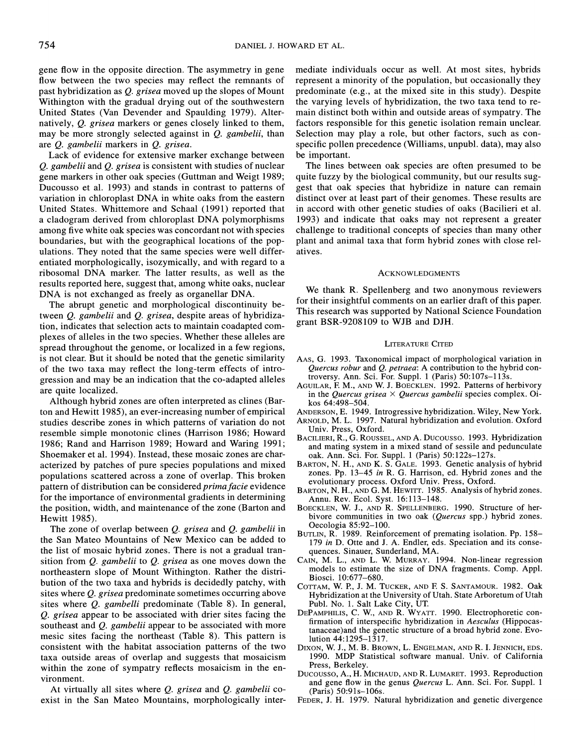**gene flow in the opposite direction. The asymmetry in gene flow between the two species may reflect the remnants of past hybridization as Q. grisea moved up the slopes of Mount Withington with the gradual drying out of the southwestern United States (Van Devender and Spaulding 1979). Alternatively, Q. grisea markers or genes closely linked to them, may be more strongly selected against in Q. gambelii, than are Q. gambelii markers in Q. grisea.** 

**Lack of evidence for extensive marker exchange between Q. gambelii and Q. grisea is consistent with studies of nuclear gene markers in other oak species (Guttman and Weigt 1989; Ducousso et al. 1993) and stands in contrast to patterns of variation in chloroplast DNA in white oaks from the eastern United States. Whittemore and Schaal (1991) reported that a cladogram derived from chloroplast DNA polymorphisms among five white oak species was concordant not with species boundaries, but with the geographical locations of the populations. They noted that the same species were well differentiated morphologically, isozymically, and with regard to a ribosomal DNA marker. The latter results, as well as the results reported here, suggest that, among white oaks, nuclear DNA is not exchanged as freely as organellar DNA.** 

**The abrupt genetic and morphological discontinuity between Q. gambelii and Q. grisea, despite areas of hybridization, indicates that selection acts to maintain coadapted complexes of alleles in the two species. Whether these alleles are spread throughout the genome, or localized in a few regions, is not clear. But it should be noted that the genetic similarity of the two taxa may reflect the long-term effects of introgression and may be an indication that the co-adapted alleles are quite localized.** 

**Although hybrid zones are often interpreted as clines (Barton and Hewitt 1985), an ever-increasing number of empirical studies describe zones in which patterns of variation do not resemble simple monotonic clines (Harrison 1986; Howard 1986; Rand and Harrison 1989; Howard and Waring 1991; Shoemaker et al. 1994). Instead, these mosaic zones are characterized by patches of pure species populations and mixed populations scattered across a zone of overlap. This broken pattern of distribution can be considered prima facie evidence for the importance of environmental gradients in determining the position, width, and maintenance of the zone (Barton and Hewitt 1985).** 

**The zone of overlap between Q. grisea and Q. gambelii in the San Mateo Mountains of New Mexico can be added to the list of mosaic hybrid zones. There is not a gradual transition from Q. gambelii to Q. grisea as one moves down the northeastern slope of Mount Withington. Rather the distribution of the two taxa and hybrids is decidedly patchy, with sites where Q. grisea predominate sometimes occurring above sites where Q. gambelli predominate (Table 8). In general, Q. grisea appear to be associated with drier sites facing the southeast and Q. gambelii appear to be associated with more mesic sites facing the northeast (Table 8). This pattern is consistent with the habitat association patterns of the two taxa outside areas of overlap and suggests that mosaicism**  within the zone of sympatry reflects mosaicism in the en**vironment.** 

**At virtually all sites where Q. grisea and Q. gambelii coexist in the San Mateo Mountains, morphologically inter-** **mediate individuals occur as well. At most sites, hybrids represent a minority of the population, but occasionally they predominate (e.g., at the mixed site in this study). Despite the varying levels of hybridization, the two taxa tend to remain distinct both within and outside areas of sympatry. The factors responsible for this genetic isolation remain unclear. Selection may play a role, but other factors, such as conspecific pollen precedence (Williams, unpubl. data), may also be important.** 

**The lines between oak species are often presumed to be quite fuzzy by the biological community, but our results suggest that oak species that hybridize in nature can remain distinct over at least part of their genomes. These results are in accord with other genetic studies of oaks (Bacilieri et al. 1993) and indicate that oaks may not represent a greater challenge to traditional concepts of species than many other plant and animal taxa that form hybrid zones with close relatives.** 

#### **ACKNOWLEDGMENTS**

**We thank R. Spellenberg and two anonymous reviewers for their insightful comments on an earlier draft of this paper. This research was supported by National Science Foundation grant BSR-9208109 to WJB and DJH.** 

### **LITERATURE CITED**

- **AAS, G. 1993. Taxonomical impact of morphological variation in Quercus robur and Q. petraea: A contribution to the hybrid controversy. Ann. Sci. For. Suppl. 1 (Paris) 50:107s-113s.**
- **AGUILAR, F. M., AND W. J. BOECKLEN. 1992. Patterns of herbivory in the Quercus grisea X Quercus gambelii species complex. Oikos 64:498-504.**
- **ANDERSON, E. 1949. Introgressive hybridization. Wiley, New York.**
- **ARNOLD, M. L. 1997. Natural hybridization and evolution. Oxford Univ. Press, Oxford.**
- **BACILIERI, R., G. ROUSSEL, AND A. Ducousso. 1993. Hybridization and mating system in a mixed stand of sessile and pedunculate oak. Ann. Sci. For. Suppl. 1 (Paris) 50:122s-127s.**
- **BARTON, N. H., AND K. S. GALE. 1993. Genetic analysis of hybrid zones. Pp. 13-45 in R. G. Harrison, ed. Hybrid zones and the evolutionary process. Oxford Univ. Press, Oxford.**
- **BARTON, N. H., AND G. M. HEWITT. 1985. Analysis of hybrid zones. Annu. Rev. Ecol. Syst. 16:113-148.**
- **BOECKLEN, W. J., AND R. SPELLENBERG. 1990. Structure of herbivore communities in two oak (Quercus spp.) hybrid zones. Oecologia 85:92-100.**
- **BUTLIN, R. 1989. Reinforcement of premating isolation. Pp. 158- 179 in D. Otte and J. A. Endler, eds. Speciation and its consequences. Sinauer, Sunderland, MA.**
- **CAIN, M. L., AND L. W. MURRAY. 1994. Non-linear regression models to estimate the size of DNA fragments. Comp. Appl. Biosci. 10:677-680.**
- **COTTAM, W. P., J. M. TUCKER, AND F S. SANTAMOUR. 1982. Oak Hybridization at the University of Utah. State Arboretum of Utah Publ. No. 1. Salt Lake City, UT.**
- **DEPAMPHILIS, C. W., AND R. WYATT. 1990. Electrophoretic confirmation of interspecific hybridization in Aesculus (Hippocastanaceae)and the genetic structure of a broad hybrid zone. Evolution 44:1295-1317.**
- **DIXON, W. J., M. B. BROWN, L. ENGELMAN, AND R. I. JENNICH, EDS. 1990. MDP Statistical software manual. Univ. of California Press, Berkeley.**
- **Ducousso, A., H. MICHAUD, AND R. LUMARET. 1993. Reproduction and gene flow in the genus Quercus L. Ann. Sci. For. Suppl. 1 (Paris) 50:91s-106s.**
- **FEDER, J. H. 1979. Natural hybridization and genetic divergence**